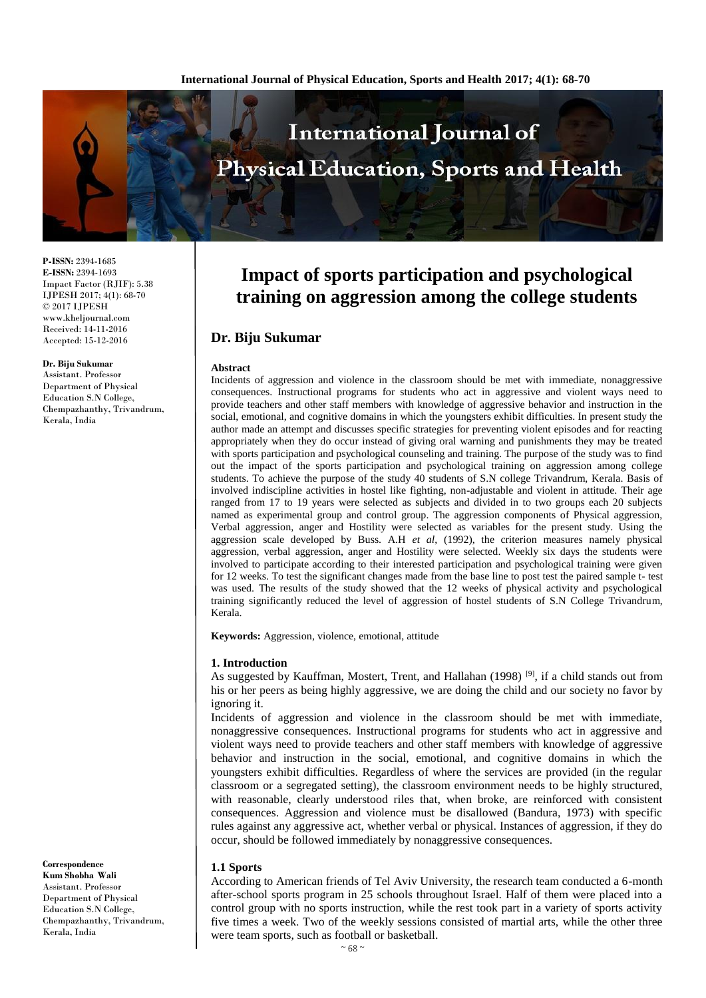

**P-ISSN:** 2394-1685 **E-ISSN:** 2394-1693 Impact Factor (RJIF): 5.38 IJPESH 2017; 4(1): 68-70 © 2017 IJPESH www.kheljournal.com Received: 14-11-2016 Accepted: 15-12-2016

**Dr. Biju Sukumar** Assistant. Professor Department of Physical Education S.N College, Chempazhanthy, Trivandrum, Kerala, India

**Correspondence Kum Shobha Wali** Assistant. Professor Department of Physical Education S.N College, Chempazhanthy, Trivandrum, Kerala, India

# **Impact of sports participation and psychological training on aggression among the college students**

# **Dr. Biju Sukumar**

#### **Abstract**

Incidents of aggression and violence in the classroom should be met with immediate, nonaggressive consequences. Instructional programs for students who act in aggressive and violent ways need to provide teachers and other staff members with knowledge of aggressive behavior and instruction in the social, emotional, and cognitive domains in which the youngsters exhibit difficulties. In present study the author made an attempt and discusses specific strategies for preventing violent episodes and for reacting appropriately when they do occur instead of giving oral warning and punishments they may be treated with sports participation and psychological counseling and training. The purpose of the study was to find out the impact of the sports participation and psychological training on aggression among college students. To achieve the purpose of the study 40 students of S.N college Trivandrum, Kerala. Basis of involved indiscipline activities in hostel like fighting, non-adjustable and violent in attitude. Their age ranged from 17 to 19 years were selected as subjects and divided in to two groups each 20 subjects named as experimental group and control group. The aggression components of Physical aggression, Verbal aggression, anger and Hostility were selected as variables for the present study. Using the aggression scale developed by Buss. A.H *et al*, (1992), the criterion measures namely physical aggression, verbal aggression, anger and Hostility were selected. Weekly six days the students were involved to participate according to their interested participation and psychological training were given for 12 weeks. To test the significant changes made from the base line to post test the paired sample t- test was used. The results of the study showed that the 12 weeks of physical activity and psychological training significantly reduced the level of aggression of hostel students of S.N College Trivandrum, Kerala.

**Keywords:** Aggression, violence, emotional, attitude

#### **1. Introduction**

As suggested by Kauffman, Mostert, Trent, and Hallahan (1998)  $[9]$ , if a child stands out from his or her peers as being highly aggressive, we are doing the child and our society no favor by ignoring it.

Incidents of aggression and violence in the classroom should be met with immediate, nonaggressive consequences. Instructional programs for students who act in aggressive and violent ways need to provide teachers and other staff members with knowledge of aggressive behavior and instruction in the social, emotional, and cognitive domains in which the youngsters exhibit difficulties. Regardless of where the services are provided (in the regular classroom or a segregated setting), the classroom environment needs to be highly structured, with reasonable, clearly understood riles that, when broke, are reinforced with consistent consequences. Aggression and violence must be disallowed (Bandura, 1973) with specific rules against any aggressive act, whether verbal or physical. Instances of aggression, if they do occur, should be followed immediately by nonaggressive consequences.

#### **1.1 Sports**

According to American friends of Tel Aviv University, the research team conducted a 6-month after-school sports program in 25 schools throughout Israel. Half of them were placed into a control group with no sports instruction, while the rest took part in a variety of sports activity five times a week. Two of the weekly sessions consisted of martial arts, while the other three were team sports, such as football or basketball.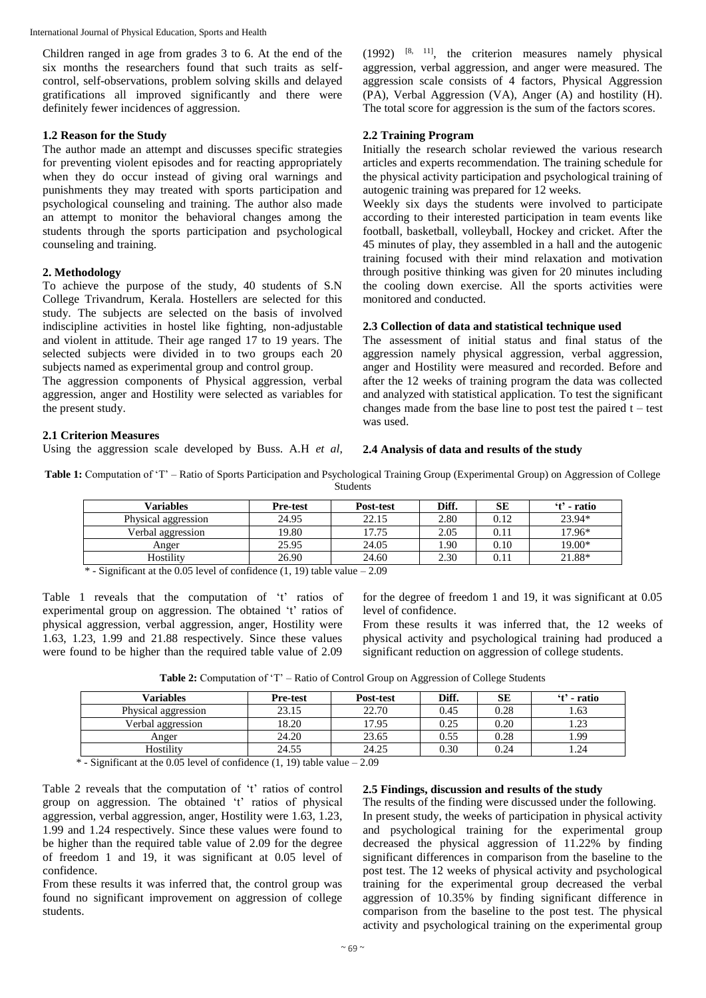International Journal of Physical Education, Sports and Health

Children ranged in age from grades 3 to 6. At the end of the six months the researchers found that such traits as selfcontrol, self-observations, problem solving skills and delayed gratifications all improved significantly and there were definitely fewer incidences of aggression.

#### **1.2 Reason for the Study**

The author made an attempt and discusses specific strategies for preventing violent episodes and for reacting appropriately when they do occur instead of giving oral warnings and punishments they may treated with sports participation and psychological counseling and training. The author also made an attempt to monitor the behavioral changes among the students through the sports participation and psychological counseling and training.

#### **2. Methodology**

To achieve the purpose of the study, 40 students of S.N College Trivandrum, Kerala. Hostellers are selected for this study. The subjects are selected on the basis of involved indiscipline activities in hostel like fighting, non-adjustable and violent in attitude. Their age ranged 17 to 19 years. The selected subjects were divided in to two groups each 20 subjects named as experimental group and control group.

The aggression components of Physical aggression, verbal aggression, anger and Hostility were selected as variables for the present study.

### **2.1 Criterion Measures**

Using the aggression scale developed by Buss. A.H *et al*,

 $(1992)$  <sup>[8, 11]</sup>, the criterion measures namely physical aggression, verbal aggression, and anger were measured. The aggression scale consists of 4 factors, Physical Aggression (PA), Verbal Aggression (VA), Anger (A) and hostility (H). The total score for aggression is the sum of the factors scores.

### **2.2 Training Program**

Initially the research scholar reviewed the various research articles and experts recommendation. The training schedule for the physical activity participation and psychological training of autogenic training was prepared for 12 weeks.

Weekly six days the students were involved to participate according to their interested participation in team events like football, basketball, volleyball, Hockey and cricket. After the 45 minutes of play, they assembled in a hall and the autogenic training focused with their mind relaxation and motivation through positive thinking was given for 20 minutes including the cooling down exercise. All the sports activities were monitored and conducted.

#### **2.3 Collection of data and statistical technique used**

The assessment of initial status and final status of the aggression namely physical aggression, verbal aggression, anger and Hostility were measured and recorded. Before and after the 12 weeks of training program the data was collected and analyzed with statistical application. To test the significant changes made from the base line to post test the paired  $t - \text{test}$ was used.

#### **2.4 Analysis of data and results of the study**

**Table 1:** Computation of 'T' – Ratio of Sports Participation and Psychological Training Group (Experimental Group) on Aggression of College Students

| <b>Variables</b>    | <b>Pre-test</b> | Post-test | Diff. | SЕ       | 't' - ratio |
|---------------------|-----------------|-----------|-------|----------|-------------|
| Physical aggression | 24.95           | 22.15     | 2.80  | 0.12     | 23.94*      |
| Verbal aggression   | 19.80           | 17.75     | 2.05  | $0.11\,$ | 17.96*      |
| Anger               | 25.95           | 24.05     | 1.90  | 0.10     | 19.00*      |
| Hostility           | 26.90           | 24.60     | 2.30  | $0.11\,$ | 21.88*      |

 $*$  - Significant at the 0.05 level of confidence  $(1, 19)$  table value – 2.09

Table 1 reveals that the computation of 't' ratios of experimental group on aggression. The obtained 't' ratios of physical aggression, verbal aggression, anger, Hostility were 1.63, 1.23, 1.99 and 21.88 respectively. Since these values were found to be higher than the required table value of 2.09

for the degree of freedom 1 and 19, it was significant at 0.05 level of confidence.

From these results it was inferred that, the 12 weeks of physical activity and psychological training had produced a significant reduction on aggression of college students.

**Table 2:** Computation of 'T' – Ratio of Control Group on Aggression of College Students

| Variables           | <b>Pre-test</b> | Post-test | Diff. | SЕ   | 't' - ratio |
|---------------------|-----------------|-----------|-------|------|-------------|
| Physical aggression | 23.15           | 22.70     | 0.45  | 0.28 | 1.63        |
| Verbal aggression   | 18.20           | 17.95     | 0.25  | 0.20 | 1.23        |
| Anger               | 24.20           | 23.65     | 0.55  | 0.28 | 1.99        |
| Hostilitv           | 24.55           | 24.25     | 0.30  | 0.24 | . . 24      |

 $*$  - Significant at the 0.05 level of confidence (1, 19) table value  $-2.09$ 

Table 2 reveals that the computation of 't' ratios of control group on aggression. The obtained 't' ratios of physical aggression, verbal aggression, anger, Hostility were 1.63, 1.23, 1.99 and 1.24 respectively. Since these values were found to be higher than the required table value of 2.09 for the degree of freedom 1 and 19, it was significant at 0.05 level of confidence.

From these results it was inferred that, the control group was found no significant improvement on aggression of college students.

#### **2.5 Findings, discussion and results of the study**

The results of the finding were discussed under the following. In present study, the weeks of participation in physical activity and psychological training for the experimental group decreased the physical aggression of 11.22% by finding significant differences in comparison from the baseline to the post test. The 12 weeks of physical activity and psychological training for the experimental group decreased the verbal aggression of 10.35% by finding significant difference in comparison from the baseline to the post test. The physical activity and psychological training on the experimental group